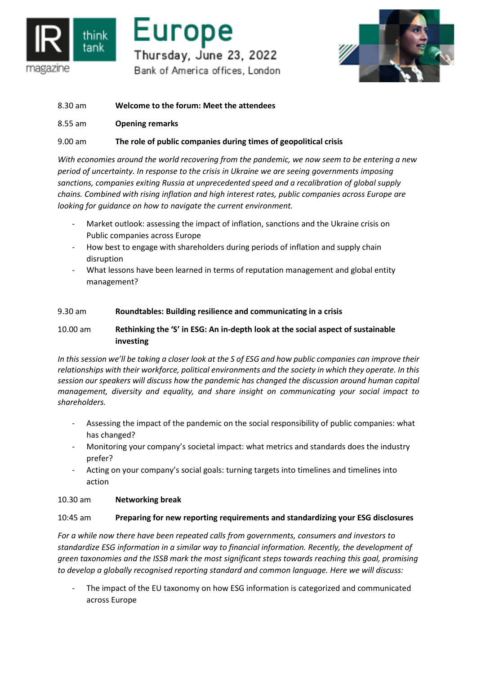

# Europe Thursday, June 23, 2022 Bank of America offices, London



- 8.30 am **Welcome to the forum: Meet the attendees**
- 8.55 am **Opening remarks**

# 9.00 am **The role of public companies during times of geopolitical crisis**

*With economies around the world recovering from the pandemic, we now seem to be entering a new period of uncertainty. In response to the crisis in Ukraine we are seeing governments imposing sanctions, companies exiting Russia at unprecedented speed and a recalibration of global supply chains. Combined with rising inflation and high interest rates, public companies across Europe are looking for guidance on how to navigate the current environment.*

- Market outlook: assessing the impact of inflation, sanctions and the Ukraine crisis on Public companies across Europe
- How best to engage with shareholders during periods of inflation and supply chain disruption
- What lessons have been learned in terms of reputation management and global entity management?

## 9.30 am **Roundtables: Building resilience and communicating in a crisis**

# 10.00 am **Rethinking the 'S' in ESG: An in-depth look at the social aspect of sustainable investing**

*In this session we'll be taking a closer look at the S of ESG and how public companies can improve their relationships with their workforce, political environments and the society in which they operate. In this session our speakers will discuss how the pandemic has changed the discussion around human capital management, diversity and equality, and share insight on communicating your social impact to shareholders.*

- Assessing the impact of the pandemic on the social responsibility of public companies: what has changed?
- Monitoring your company's societal impact: what metrics and standards does the industry prefer?
- Acting on your company's social goals: turning targets into timelines and timelines into action

# 10.30 am **Networking break**

# 10:45 am **Preparing for new reporting requirements and standardizing your ESG disclosures**

*For a while now there have been repeated calls from governments, consumers and investors to standardize ESG information in a similar way to financial information. Recently, the development of green taxonomies and the ISSB mark the most significant steps towards reaching this goal, promising to develop a globally recognised reporting standard and common language. Here we will discuss:*

The impact of the EU taxonomy on how ESG information is categorized and communicated across Europe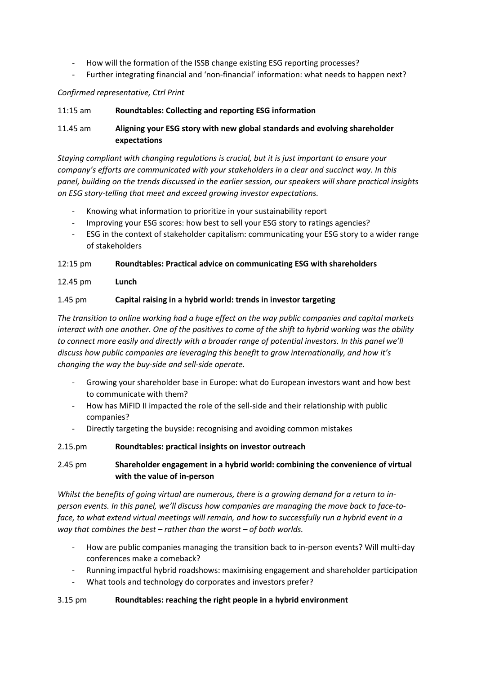- How will the formation of the ISSB change existing ESG reporting processes?
- Further integrating financial and 'non-financial' information: what needs to happen next?

## *Confirmed representative, Ctrl Print*

### 11:15 am **Roundtables: Collecting and reporting ESG information**

# 11.45 am **Aligning your ESG story with new global standards and evolving shareholder expectations**

*Staying compliant with changing regulations is crucial, but it is just important to ensure your company's efforts are communicated with your stakeholders in a clear and succinct way. In this panel, building on the trends discussed in the earlier session, our speakers will share practical insights on ESG story-telling that meet and exceed growing investor expectations.*

- Knowing what information to prioritize in your sustainability report
- Improving your ESG scores: how best to sell your ESG story to ratings agencies?
- ESG in the context of stakeholder capitalism: communicating your ESG story to a wider range of stakeholders

12:15 pm **Roundtables: Practical advice on communicating ESG with shareholders**

## 12.45 pm **Lunch**

## 1.45 pm **Capital raising in a hybrid world: trends in investor targeting**

*The transition to online working had a huge effect on the way public companies and capital markets interact with one another. One of the positives to come of the shift to hybrid working was the ability to connect more easily and directly with a broader range of potential investors. In this panel we'll discuss how public companies are leveraging this benefit to grow internationally, and how it's changing the way the buy-side and sell-side operate.*

- Growing your shareholder base in Europe: what do European investors want and how best to communicate with them?
- How has MiFID II impacted the role of the sell-side and their relationship with public companies?
- Directly targeting the buyside: recognising and avoiding common mistakes

#### 2.15.pm **Roundtables: practical insights on investor outreach**

# 2.45 pm **Shareholder engagement in a hybrid world: combining the convenience of virtual with the value of in-person**

*Whilst the benefits of going virtual are numerous, there is a growing demand for a return to inperson events. In this panel, we'll discuss how companies are managing the move back to face-toface, to what extend virtual meetings will remain, and how to successfully run a hybrid event in a way that combines the best – rather than the worst – of both worlds.*

- How are public companies managing the transition back to in-person events? Will multi-day conferences make a comeback?
- Running impactful hybrid roadshows: maximising engagement and shareholder participation
- What tools and technology do corporates and investors prefer?

#### 3.15 pm **Roundtables: reaching the right people in a hybrid environment**